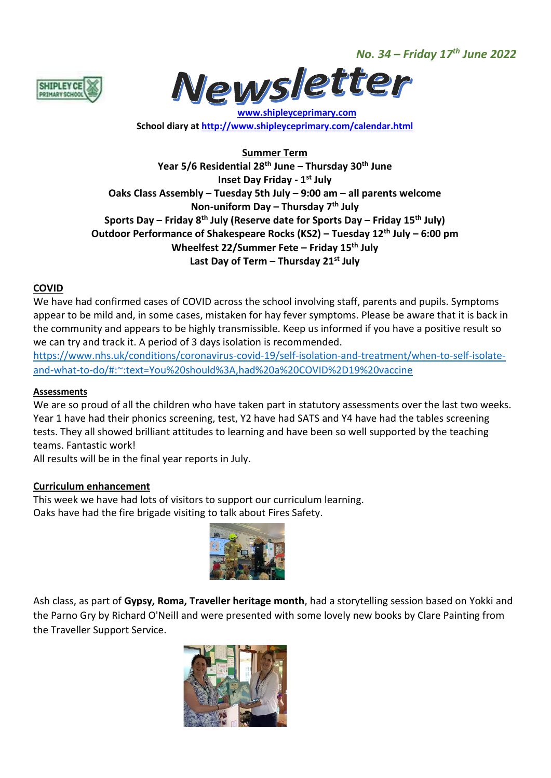*No. 34 – Friday 17th June 2022*





 **[www.shipleyceprimary.com](http://www.shipleyceprimary.com/) School diary a[t http://www.shipleyceprimary.com/calendar.html](http://www.shipleyceprimary.com/calendar.html)**

**Summer Term Year 5/6 Residential 28th June – Thursday 30th June Inset Day Friday - 1 st July Oaks Class Assembly – Tuesday 5th July – 9:00 am – all parents welcome Non-uniform Day – Thursday 7 th July Sports Day – Friday 8th July (Reserve date for Sports Day – Friday 15th July) Outdoor Performance of Shakespeare Rocks (KS2) – Tuesday 12th July – 6:00 pm Wheelfest 22/Summer Fete – Friday 15th July Last Day of Term – Thursday 21st July**

## **COVID**

We have had confirmed cases of COVID across the school involving staff, parents and pupils. Symptoms appear to be mild and, in some cases, mistaken for hay fever symptoms. Please be aware that it is back in the community and appears to be highly transmissible. Keep us informed if you have a positive result so we can try and track it. A period of 3 days isolation is recommended.

[https://www.nhs.uk/conditions/coronavirus-covid-19/self-isolation-and-treatment/when-to-self-isolate](https://www.nhs.uk/conditions/coronavirus-covid-19/self-isolation-and-treatment/when-to-self-isolate-and-what-to-do/#:~:text=You%20should%3A,had%20a%20COVID%2D19%20vaccine)[and-what-to-do/#:~:text=You%20should%3A,had%20a%20COVID%2D19%20vaccine](https://www.nhs.uk/conditions/coronavirus-covid-19/self-isolation-and-treatment/when-to-self-isolate-and-what-to-do/#:~:text=You%20should%3A,had%20a%20COVID%2D19%20vaccine)

### **Assessments**

We are so proud of all the children who have taken part in statutory assessments over the last two weeks. Year 1 have had their phonics screening, test, Y2 have had SATS and Y4 have had the tables screening tests. They all showed brilliant attitudes to learning and have been so well supported by the teaching teams. Fantastic work!

All results will be in the final year reports in July.

### **Curriculum enhancement**

This week we have had lots of visitors to support our curriculum learning. Oaks have had the fire brigade visiting to talk about Fires Safety.



Ash class, as part of **Gypsy, Roma, Traveller heritage month**, had a storytelling session based on Yokki and the Parno Gry by Richard O'Neill and were presented with some lovely new books by Clare Painting from the Traveller Support Service.

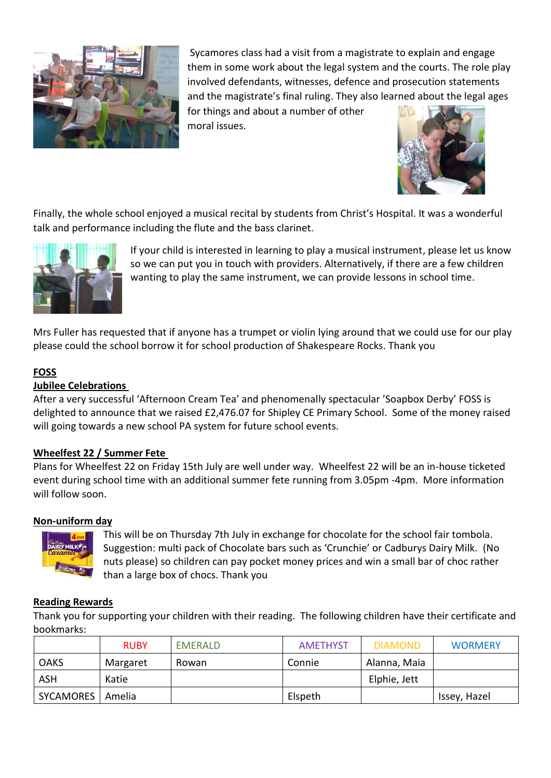

Sycamores class had a visit from a magistrate to explain and engage them in some work about the legal system and the courts. The role play involved defendants, witnesses, defence and prosecution statements and the magistrate's final ruling. They also learned about the legal ages

for things and about a number of other moral issues.



Finally, the whole school enjoyed a musical recital by students from Christ's Hospital. It was a wonderful talk and performance including the flute and the bass clarinet.



If your child is interested in learning to play a musical instrument, please let us know so we can put you in touch with providers. Alternatively, if there are a few children wanting to play the same instrument, we can provide lessons in school time.

Mrs Fuller has requested that if anyone has a trumpet or violin lying around that we could use for our play please could the school borrow it for school production of Shakespeare Rocks. Thank you

# **FOSS**

## **Jubilee Celebrations**

After a very successful 'Afternoon Cream Tea' and phenomenally spectacular 'Soapbox Derby' FOSS is delighted to announce that we raised £2,476.07 for Shipley CE Primary School. Some of the money raised will going towards a new school PA system for future school events.

## **Wheelfest 22 / Summer Fete**

Plans for Wheelfest 22 on Friday 15th July are well under way. Wheelfest 22 will be an in-house ticketed event during school time with an additional summer fete running from 3.05pm -4pm. More information will follow soon.

## **Non-uniform day**



This will be on Thursday 7th July in exchange for chocolate for the school fair tombola. Suggestion: multi pack of Chocolate bars such as 'Crunchie' or Cadburys Dairy Milk. (No nuts please) so children can pay pocket money prices and win a small bar of choc rather than a large box of chocs. Thank you

## **Reading Rewards**

Thank you for supporting your children with their reading. The following children have their certificate and bookmarks:

|             | <b>RUBY</b> | <b>EMERALD</b> | <b>AMETHYST</b> | <b>DIAMOND</b> | <b>WORMERY</b> |
|-------------|-------------|----------------|-----------------|----------------|----------------|
| <b>OAKS</b> | Margaret    | Rowan          | Connie          | Alanna, Maia   |                |
| ASH         | Katie       |                |                 | Elphie, Jett   |                |
| SYCAMORES   | Amelia      |                | Elspeth         |                | Issey, Hazel   |